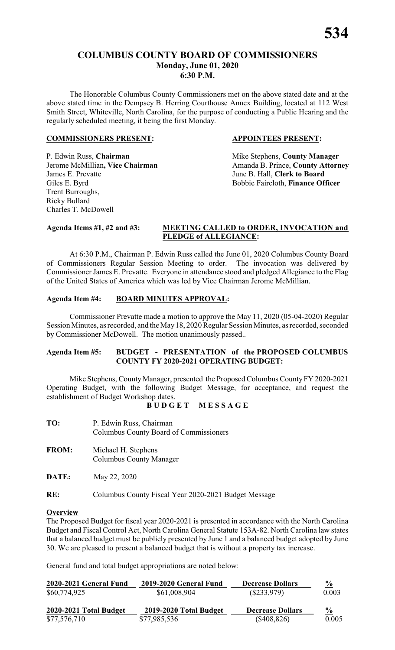# **COLUMBUS COUNTY BOARD OF COMMISSIONERS Monday, June 01, 2020 6:30 P.M.**

The Honorable Columbus County Commissioners met on the above stated date and at the above stated time in the Dempsey B. Herring Courthouse Annex Building, located at 112 West Smith Street, Whiteville, North Carolina, for the purpose of conducting a Public Hearing and the regularly scheduled meeting, it being the first Monday.

#### **COMMISSIONERS PRESENT: APPOINTEES PRESENT:**

P. Edwin Russ, **Chairman** Mike Stephens, **County Manager**<br>
Jerome McMillian, Vice Chairman Manager Amanda B. Prince, **County Attorn** James E. Prevatte<br>
Giles E. Byrd<br>
Giles E. Byrd<br>
Giles E. Byrd<br>
Giles E. Byrd<br>
Giles E. Byrd<br>
Giles E. Byrd<br>
Giles E. Byrd<br>
Giles E. Byrd<br>
Giles E. Byrd<br>
Giles E. Byrd<br>
Giles E. Byrd<br>
Giles E. Byrd<br>
Giles E. Byrd<br>
Giles E. Trent Burroughs, Ricky Bullard Charles T. McDowell

Amanda B. Prince, **County Attorney** Bobbie Faircloth, Finance Officer

#### **Agenda Items #1, #2 and #3: MEETING CALLED to ORDER, INVOCATION and PLEDGE of ALLEGIANCE:**

At 6:30 P.M., Chairman P. Edwin Russ called the June 01, 2020 Columbus County Board of Commissioners Regular Session Meeting to order. The invocation was delivered by Commissioner James E. Prevatte. Everyone in attendance stood and pledged Allegiance to the Flag of the United States of America which was led by Vice Chairman Jerome McMillian.

## **Agenda Item #4: BOARD MINUTES APPROVAL:**

Commissioner Prevatte made a motion to approve the May 11, 2020 (05-04-2020) Regular Session Minutes, as recorded, and the May 18, 2020 Regular Session Minutes, as recorded, seconded by Commissioner McDowell. The motion unanimously passed..

#### **Agenda Item #5: BUDGET - PRESENTATION of the PROPOSED COLUMBUS COUNTY FY 2020-2021 OPERATING BUDGET:**

Mike Stephens, County Manager, presented the Proposed Columbus County FY 2020-2021 Operating Budget, with the following Budget Message, for acceptance, and request the establishment of Budget Workshop dates.

**B U D G E T M E S S A G E**

| TO:          | P. Edwin Russ, Chairman<br>Columbus County Board of Commissioners |
|--------------|-------------------------------------------------------------------|
| <b>FROM:</b> | Michael H. Stephens<br><b>Columbus County Manager</b>             |

**DATE:** May 22, 2020

**RE:** Columbus County Fiscal Year 2020-2021 Budget Message

#### **Overview**

The Proposed Budget for fiscal year 2020-2021 is presented in accordance with the North Carolina Budget and Fiscal Control Act, North Carolina General Statute 153A-82. North Carolina law states that a balanced budget must be publicly presented by June 1 and a balanced budget adopted by June 30. We are pleased to present a balanced budget that is without a property tax increase.

General fund and total budget appropriations are noted below:

| 2020-2021 General Fund | 2019-2020 General Fund | <b>Decrease Dollars</b> | $\frac{0}{2}$ |
|------------------------|------------------------|-------------------------|---------------|
| \$60,774,925           | \$61,008,904           | $(\$233,979)$           | 0.003         |
| 2020-2021 Total Budget | 2019-2020 Total Budget | <b>Decrease Dollars</b> | $\frac{6}{9}$ |
| \$77,576,710           | \$77,985,536           | $(\$408,826)$           | 0.005         |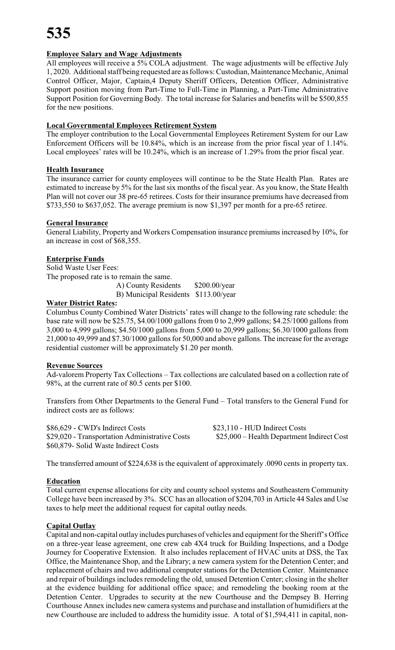# **Employee Salary and Wage Adjustments**

All employees will receive a 5% COLA adjustment. The wage adjustments will be effective July 1, 2020. Additional staff being requested are as follows: Custodian, Maintenance Mechanic, Animal Control Officer, Major, Captain,4 Deputy Sheriff Officers, Detention Officer, Administrative Support position moving from Part-Time to Full-Time in Planning, a Part-Time Administrative Support Position for Governing Body. The total increase for Salaries and benefits will be \$500,855 for the new positions.

# **Local Governmental Employees Retirement System**

The employer contribution to the Local Governmental Employees Retirement System for our Law Enforcement Officers will be 10.84%, which is an increase from the prior fiscal year of 1.14%. Local employees' rates will be 10.24%, which is an increase of 1.29% from the prior fiscal year.

## **Health Insurance**

The insurance carrier for county employees will continue to be the State Health Plan. Rates are estimated to increase by 5% for the last six months of the fiscal year. As you know, the State Health Plan will not cover our 38 pre-65 retirees. Costs for their insurance premiums have decreased from \$733,550 to \$637,052. The average premium is now \$1,397 per month for a pre-65 retiree.

## **General Insurance**

General Liability, Property and Workers Compensation insurance premiums increased by 10%, for an increase in cost of \$68,355.

# **Enterprise Funds**

Solid Waste User Fees: The proposed rate is to remain the same.

A) County Residents \$200.00/year B) Municipal Residents \$113.00/year

#### **Water District Rates:**

Columbus County Combined Water Districts' rates will change to the following rate schedule: the base rate will now be \$25.75, \$4.00/1000 gallons from 0 to 2,999 gallons; \$4.25/1000 gallons from 3,000 to 4,999 gallons; \$4.50/1000 gallons from 5,000 to 20,999 gallons; \$6.30/1000 gallons from 21,000 to 49,999 and \$7.30/1000 gallons for 50,000 and above gallons. The increase for the average residential customer will be approximately \$1.20 per month.

# **Revenue Sources**

Ad-valorem Property Tax Collections – Tax collections are calculated based on a collection rate of 98%, at the current rate of 80.5 cents per \$100.

Transfers from Other Departments to the General Fund – Total transfers to the General Fund for indirect costs are as follows:

\$86,629 - CWD's Indirect Costs \$23,110 - HUD Indirect Costs \$29,020 - Transportation Administrative Costs \$25,000 – Health Department Indirect Cost \$60,879- Solid Waste Indirect Costs

The transferred amount of \$224,638 is the equivalent of approximately .0090 cents in property tax.

# **Education**

Total current expense allocations for city and county school systems and Southeastern Community College have been increased by 3%. SCC has an allocation of \$204,703 in Article 44 Sales and Use taxes to help meet the additional request for capital outlay needs.

# **Capital Outlay**

Capital and non-capital outlay includes purchases of vehicles and equipment for the Sheriff's Office on a three-year lease agreement, one crew cab 4X4 truck for Building Inspections, and a Dodge Journey for Cooperative Extension. It also includes replacement of HVAC units at DSS, the Tax Office, the Maintenance Shop, and the Library; a new camera system for the Detention Center; and replacement of chairs and two additional computer stations for the Detention Center. Maintenance and repair of buildings includes remodeling the old, unused Detention Center; closing in the shelter at the evidence building for additional office space; and remodeling the booking room at the Detention Center. Upgrades to security at the new Courthouse and the Dempsey B. Herring Courthouse Annex includes new camera systems and purchase and installation of humidifiers at the new Courthouse are included to address the humidity issue. A total of \$1,594,411 in capital, non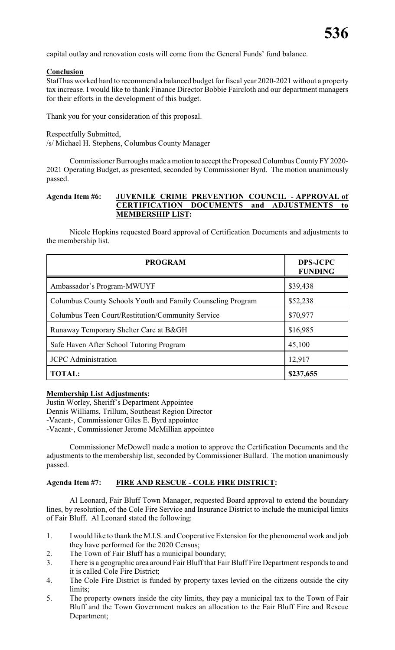capital outlay and renovation costs will come from the General Funds' fund balance.

#### **Conclusion**

Staff has worked hard to recommend a balanced budget for fiscal year 2020-2021 without a property tax increase. I would like to thank Finance Director Bobbie Faircloth and our department managers for their efforts in the development of this budget.

Thank you for your consideration of this proposal.

Respectfully Submitted, /s/ Michael H. Stephens, Columbus County Manager

Commissioner Burroughs made amotion to acceptthe Proposed Columbus CountyFY 2020- 2021 Operating Budget, as presented, seconded by Commissioner Byrd. The motion unanimously passed.

#### **Agenda Item #6: JUVENILE CRIME PREVENTION COUNCIL - APPROVAL of CERTIFICATION DOCUMENTS and ADJUSTMENTS to MEMBERSHIP LIST:**

Nicole Hopkins requested Board approval of Certification Documents and adjustments to the membership list.

| <b>PROGRAM</b>                                              | <b>DPS-JCPC</b><br><b>FUNDING</b> |
|-------------------------------------------------------------|-----------------------------------|
| Ambassador's Program-MWUYF                                  | \$39,438                          |
| Columbus County Schools Youth and Family Counseling Program | \$52,238                          |
| Columbus Teen Court/Restitution/Community Service           | \$70,977                          |
| Runaway Temporary Shelter Care at B&GH                      | \$16,985                          |
| Safe Haven After School Tutoring Program                    | 45,100                            |
| <b>JCPC</b> Administration                                  | 12,917                            |
| <b>TOTAL:</b>                                               | \$237,655                         |

#### **Membership List Adjustments:**

Justin Worley, Sheriff's Department Appointee Dennis Williams, Trillum, Southeast Region Director -Vacant-, Commissioner Giles E. Byrd appointee -Vacant-, Commissioner Jerome McMillian appointee

Commissioner McDowell made a motion to approve the Certification Documents and the adjustments to the membership list, seconded by Commissioner Bullard. The motion unanimously passed.

#### **Agenda Item #7: FIRE AND RESCUE - COLE FIRE DISTRICT:**

Al Leonard, Fair Bluff Town Manager, requested Board approval to extend the boundary lines, by resolution, of the Cole Fire Service and Insurance District to include the municipal limits of Fair Bluff. Al Leonard stated the following:

- 1. I would like to thank the M.I.S. and Cooperative Extension for the phenomenal work and job they have performed for the 2020 Census;
- 2. The Town of Fair Bluff has a municipal boundary;
- 3. There is a geographic area around Fair Bluff that Fair Bluff Fire Department responds to and it is called Cole Fire District;
- 4. The Cole Fire District is funded by property taxes levied on the citizens outside the city limits;
- 5. The property owners inside the city limits, they pay a municipal tax to the Town of Fair Bluff and the Town Government makes an allocation to the Fair Bluff Fire and Rescue Department;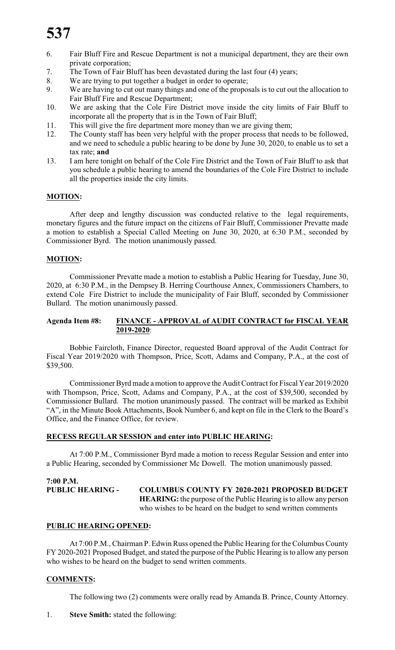- 6. Fair Bluff Fire and Rescue Department is not a municipal department, they are their own private corporation;
- 7. The Town of Fair Bluff has been devastated during the last four (4) years;
- 8. We are trying to put together a budget in order to operate;
- 9. We are having to cut out many things and one of the proposals is to cut out the allocation to Fair Bluff Fire and Rescue Department;
- 10. We are asking that the Cole Fire District move inside the city limits of Fair Bluff to incorporate all the property that is in the Town of Fair Bluff;
- 11. This will give the fire department more money than we are giving them;
- 12. The County staff has been very helpful with the proper process that needs to be followed, and we need to schedule a public hearing to be done by June 30, 2020, to enable us to set a tax rate; **and**
- 13. I am here tonight on behalf of the Cole Fire District and the Town of Fair Bluff to ask that you schedule a public hearing to amend the boundaries of the Cole Fire District to include all the properties inside the city limits.

## **MOTION:**

After deep and lengthy discussion was conducted relative to the legal requirements, monetary figures and the future impact on the citizens of Fair Bluff, Commissioner Prevatte made a motion to establish a Special Called Meeting on June 30, 2020, at 6:30 P.M., seconded by Commissioner Byrd. The motion unanimously passed.

#### **MOTION:**

Commissioner Prevatte made a motion to establish a Public Hearing for Tuesday, June 30, 2020, at 6:30 P.M., in the Dempsey B. Herring Courthouse Annex, Commissioners Chambers, to extend Cole Fire District to include the municipality of Fair Bluff, seconded by Commissioner Bullard. The motion unanimously passed.

#### **Agenda Item #8: FINANCE - APPROVAL of AUDIT CONTRACT for FISCAL YEAR 2019-2020**:

Bobbie Faircloth, Finance Director, requested Board approval of the Audit Contract for Fiscal Year 2019/2020 with Thompson, Price, Scott, Adams and Company, P.A., at the cost of \$39,500.

Commissioner Byrd made amotion to approve the Audit Contract for Fiscal Year 2019/2020 with Thompson, Price, Scott, Adams and Company, P.A., at the cost of \$39,500, seconded by Commissioner Bullard. The motion unanimously passed. The contract will be marked as Exhibit "A", in the Minute Book Attachments, Book Number 6, and kept on file in the Clerk to the Board's Office, and the Finance Office, for review.

#### **RECESS REGULAR SESSION and enter into PUBLIC HEARING:**

At 7:00 P.M., Commissioner Byrd made a motion to recess Regular Session and enter into a Public Hearing, seconded by Commissioner Mc Dowell. The motion unanimously passed.

```
7:00 P.M.
PUBLIC HEARING - COLUMBUS COUNTY FY 2020-2021 PROPOSED BUDGET
                        HEARING: the purpose of the Public Hearing is to allow any person
                        who wishes to be heard on the budget to send written comments
```
#### **PUBLIC HEARING OPENED:**

At 7:00 P.M., Chairman P. Edwin Russ opened the Public Hearing for the Columbus County FY 2020-2021 Proposed Budget, and stated the purpose of the Public Hearing is to allow any person who wishes to be heard on the budget to send written comments.

#### **COMMENTS:**

The following two (2) comments were orally read by Amanda B. Prince, County Attorney.

1. **Steve Smith:** stated the following: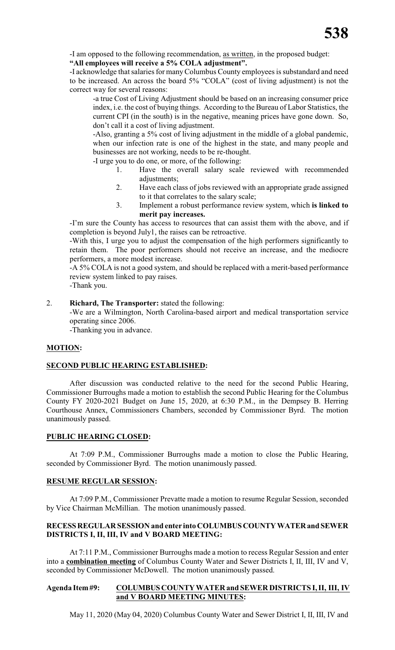-I am opposed to the following recommendation, as written, in the proposed budget:

# **"All employees will receive a 5% COLA adjustment".**

-I acknowledge that salaries for manyColumbus County employees is substandard and need to be increased. An across the board 5% "COLA" (cost of living adjustment) is not the correct way for several reasons:

-a true Cost of Living Adjustment should be based on an increasing consumer price index, i.e. the cost of buying things. According to the Bureau of Labor Statistics, the current CPI (in the south) is in the negative, meaning prices have gone down. So, don't call it a cost of living adjustment.

-Also, granting a 5% cost of living adjustment in the middle of a global pandemic, when our infection rate is one of the highest in the state, and many people and businesses are not working, needs to be re-thought.

-I urge you to do one, or more, of the following:

- 1. Have the overall salary scale reviewed with recommended adjustments;
- 2. Have each class of jobs reviewed with an appropriate grade assigned to it that correlates to the salary scale;
- 3. Implement a robust performance review system, which **is linked to merit pay increases.**

-I'm sure the County has access to resources that can assist them with the above, and if completion is beyond July1, the raises can be retroactive.

-With this, I urge you to adjust the compensation of the high performers significantly to retain them. The poor performers should not receive an increase, and the mediocre performers, a more modest increase.

-A 5% COLA is not a good system, and should be replaced with a merit-based performance review system linked to pay raises.

-Thank you.

## 2. **Richard, The Transporter:** stated the following:

-We are a Wilmington, North Carolina-based airport and medical transportation service operating since 2006.

-Thanking you in advance.

# **MOTION:**

#### **SECOND PUBLIC HEARING ESTABLISHED:**

After discussion was conducted relative to the need for the second Public Hearing, Commissioner Burroughs made a motion to establish the second Public Hearing for the Columbus County FY 2020-2021 Budget on June 15, 2020, at 6:30 P.M., in the Dempsey B. Herring Courthouse Annex, Commissioners Chambers, seconded by Commissioner Byrd. The motion unanimously passed.

#### **PUBLIC HEARING CLOSED:**

At 7:09 P.M., Commissioner Burroughs made a motion to close the Public Hearing, seconded by Commissioner Byrd. The motion unanimously passed.

# **RESUME REGULAR SESSION:**

At 7:09 P.M., Commissioner Prevatte made a motion to resume Regular Session, seconded by Vice Chairman McMillian. The motion unanimously passed.

## **RECESSREGULAR SESSION and enter into COLUMBUSCOUNTYWATERand SEWER DISTRICTS I, II, III, IV and V BOARD MEETING:**

At 7:11 P.M., Commissioner Burroughs made a motion to recess Regular Session and enter into a **combination meeting** of Columbus County Water and Sewer Districts I, II, III, IV and V, seconded by Commissioner McDowell. The motion unanimously passed.

#### **Agenda Item#9: COLUMBUSCOUNTY WATER and SEWER DISTRICTS I, II, III, IV and V BOARD MEETING MINUTES:**

May 11, 2020 (May 04, 2020) Columbus County Water and Sewer District I, II, III, IV and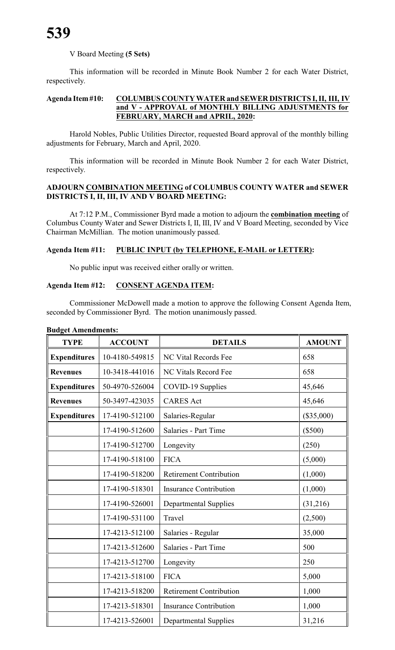# V Board Meeting **(5 Sets)**

This information will be recorded in Minute Book Number 2 for each Water District, respectively.

#### **Agenda Item#10: COLUMBUSCOUNTY WATER and SEWER DISTRICTS I, II, III, IV and V - APPROVAL of MONTHLY BILLING ADJUSTMENTS for FEBRUARY, MARCH and APRIL, 2020:**

Harold Nobles, Public Utilities Director, requested Board approval of the monthly billing adjustments for February, March and April, 2020.

This information will be recorded in Minute Book Number 2 for each Water District, respectively.

# **ADJOURN COMBINATION MEETING of COLUMBUS COUNTY WATER and SEWER DISTRICTS I, II, III, IV AND V BOARD MEETING:**

At 7:12 P.M., Commissioner Byrd made a motion to adjourn the **combination meeting** of Columbus County Water and Sewer Districts I, II, III, IV and V Board Meeting, seconded by Vice Chairman McMillian. The motion unanimously passed.

## **Agenda Item #11: PUBLIC INPUT (by TELEPHONE, E-MAIL or LETTER):**

No public input was received either orally or written.

#### **Agenda Item #12: CONSENT AGENDA ITEM:**

Commissioner McDowell made a motion to approve the following Consent Agenda Item, seconded by Commissioner Byrd. The motion unanimously passed.

| <b>TYPE</b>         | <b>ACCOUNT</b> | <b>DETAILS</b>                 | <b>AMOUNT</b> |
|---------------------|----------------|--------------------------------|---------------|
| <b>Expenditures</b> | 10-4180-549815 | <b>NC Vital Records Fee</b>    | 658           |
| <b>Revenues</b>     | 10-3418-441016 | <b>NC Vitals Record Fee</b>    | 658           |
| <b>Expenditures</b> | 50-4970-526004 | COVID-19 Supplies              | 45,646        |
| <b>Revenues</b>     | 50-3497-423035 | <b>CARES</b> Act               | 45,646        |
| <b>Expenditures</b> | 17-4190-512100 | Salaries-Regular               | (\$35,000)    |
|                     | 17-4190-512600 | Salaries - Part Time           | $(\$500)$     |
|                     | 17-4190-512700 | Longevity                      | (250)         |
|                     | 17-4190-518100 | <b>FICA</b>                    | (5,000)       |
|                     | 17-4190-518200 | <b>Retirement Contribution</b> | (1,000)       |
|                     | 17-4190-518301 | <b>Insurance Contribution</b>  | (1,000)       |
|                     | 17-4190-526001 | <b>Departmental Supplies</b>   | (31,216)      |
|                     | 17-4190-531100 | Travel                         | (2,500)       |
|                     | 17-4213-512100 | Salaries - Regular             | 35,000        |
|                     | 17-4213-512600 | Salaries - Part Time           | 500           |
|                     | 17-4213-512700 | Longevity                      | 250           |
|                     | 17-4213-518100 | <b>FICA</b>                    | 5,000         |
|                     | 17-4213-518200 | <b>Retirement Contribution</b> | 1,000         |
|                     | 17-4213-518301 | <b>Insurance Contribution</b>  | 1,000         |
|                     | 17-4213-526001 | <b>Departmental Supplies</b>   | 31,216        |

#### **Budget Amendments:**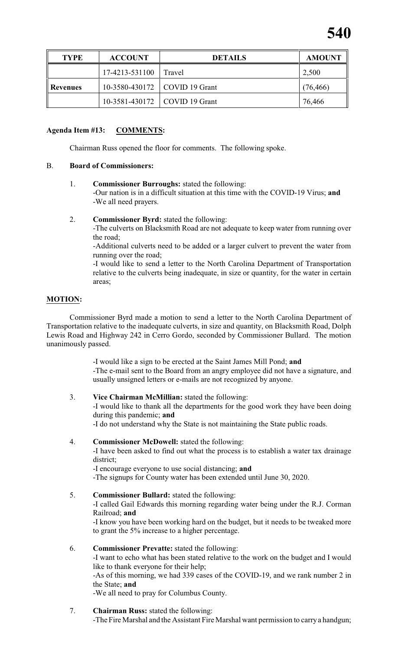

| <b>TYPE</b> | <b>ACCOUNT</b> | <b>DETAILS</b>                  | <b>AMOUNT</b> |
|-------------|----------------|---------------------------------|---------------|
|             | 17-4213-531100 | l Travel                        | 2,500         |
| ll Revenues |                | 10-3580-430172   COVID 19 Grant | (76, 466)     |
|             |                | 10-3581-430172   COVID 19 Grant | 76,466        |

### **Agenda Item #13: COMMENTS:**

Chairman Russ opened the floor for comments. The following spoke.

## B. **Board of Commissioners:**

1. **Commissioner Burroughs:** stated the following:

-Our nation is in a difficult situation at this time with the COVID-19 Virus; **and** -We all need prayers.

2. **Commissioner Byrd:** stated the following:

-The culverts on Blacksmith Road are not adequate to keep water from running over the road;

-Additional culverts need to be added or a larger culvert to prevent the water from running over the road;

-I would like to send a letter to the North Carolina Department of Transportation relative to the culverts being inadequate, in size or quantity, for the water in certain areas;

# **MOTION:**

Commissioner Byrd made a motion to send a letter to the North Carolina Department of Transportation relative to the inadequate culverts, in size and quantity, on Blacksmith Road, Dolph Lewis Road and Highway 242 in Cerro Gordo, seconded by Commissioner Bullard. The motion unanimously passed.

> -I would like a sign to be erected at the Saint James Mill Pond; **and** -The e-mail sent to the Board from an angry employee did not have a signature, and usually unsigned letters or e-mails are not recognized by anyone.

3. **Vice Chairman McMillian:** stated the following:

-I would like to thank all the departments for the good work they have been doing during this pandemic; **and**

-I do not understand why the State is not maintaining the State public roads.

4. **Commissioner McDowell:** stated the following:

-I have been asked to find out what the process is to establish a water tax drainage district;

-I encourage everyone to use social distancing; **and**

-The signups for County water has been extended until June 30, 2020.

- 5. **Commissioner Bullard:** stated the following: -I called Gail Edwards this morning regarding water being under the R.J. Corman Railroad; **and** -I know you have been working hard on the budget, but it needs to be tweaked more to grant the 5% increase to a higher percentage.
- 6. **Commissioner Prevatte:** stated the following: -I want to echo what has been stated relative to the work on the budget and I would like to thank everyone for their help; -As of this morning, we had 339 cases of the COVID-19, and we rank number 2 in the State; **and** -We all need to pray for Columbus County.
- 7. **Chairman Russ:** stated the following: -The Fire Marshal and the Assistant Fire Marshal want permission to carrya handgun;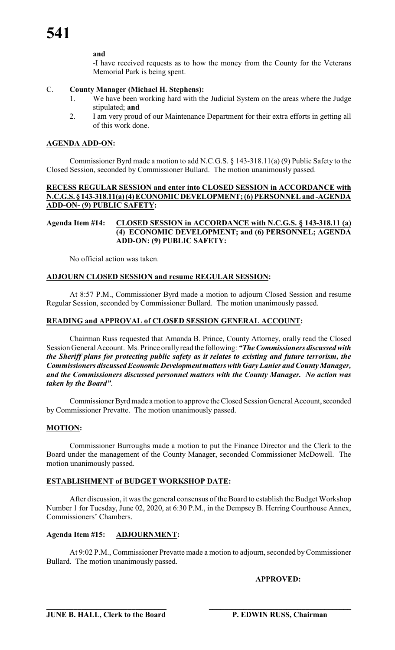#### **and**

-I have received requests as to how the money from the County for the Veterans Memorial Park is being spent.

### C. **County Manager (Michael H. Stephens):**

- 1. We have been working hard with the Judicial System on the areas where the Judge stipulated; **and**
- 2. I am very proud of our Maintenance Department for their extra efforts in getting all of this work done.

### **AGENDA ADD-ON:**

Commissioner Byrd made a motion to add N.C.G.S. § 143-318.11(a) (9) Public Safety to the Closed Session, seconded by Commissioner Bullard. The motion unanimously passed.

## **RECESS REGULAR SESSION and enter into CLOSED SESSION in ACCORDANCE with N.C.G.S. § 143-318.11(a)(4)ECONOMICDEVELOPMENT; (6) PERSONNELand -AGENDA ADD-ON- (9) PUBLIC SAFETY:**

#### **Agenda Item #14: CLOSED SESSION in ACCORDANCE with N.C.G.S. § 143-318.11 (a) (4) ECONOMIC DEVELOPMENT; and (6) PERSONNEL; AGENDA ADD-ON: (9) PUBLIC SAFETY:**

No official action was taken.

## **ADJOURN CLOSED SESSION and resume REGULAR SESSION:**

At 8:57 P.M., Commissioner Byrd made a motion to adjourn Closed Session and resume Regular Session, seconded by Commissioner Bullard. The motion unanimously passed.

#### **READING and APPROVAL of CLOSED SESSION GENERAL ACCOUNT:**

Chairman Russ requested that Amanda B. Prince, County Attorney, orally read the Closed Session General Account. Ms. Prince orallyread the following: *"The Commissioners discussed with the Sheriff plans for protecting public safety as it relates to existing and future terrorism, the Commissioners discussedEconomicDevelopmentmatters with Gary Lanier and County Manager, and the Commissioners discussed personnel matters with the County Manager. No action was taken by the Board"*.

Commissioner Byrd made a motion to approve the Closed Session General Account, seconded by Commissioner Prevatte. The motion unanimously passed.

# **MOTION:**

Commissioner Burroughs made a motion to put the Finance Director and the Clerk to the Board under the management of the County Manager, seconded Commissioner McDowell. The motion unanimously passed.

# **ESTABLISHMENT of BUDGET WORKSHOP DATE:**

After discussion, it was the general consensus of the Board to establish the Budget Workshop Number 1 for Tuesday, June 02, 2020, at 6:30 P.M., in the Dempsey B. Herring Courthouse Annex, Commissioners' Chambers.

#### **Agenda Item #15: ADJOURNMENT:**

At 9:02 P.M., Commissioner Prevatte made a motion to adjourn, seconded byCommissioner Bullard. The motion unanimously passed.

**APPROVED:**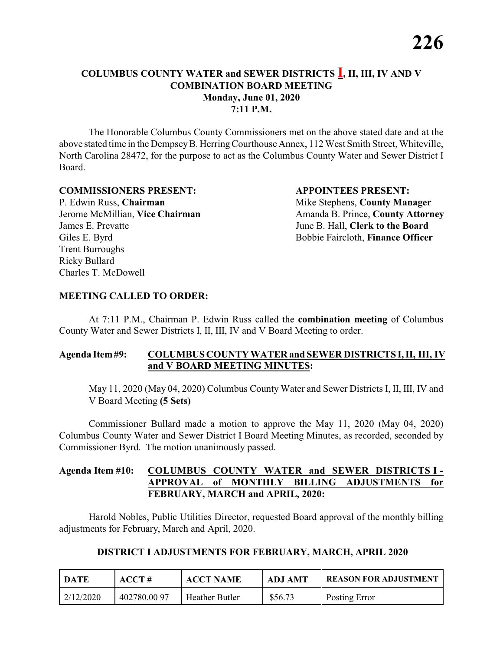The Honorable Columbus County Commissioners met on the above stated date and at the above stated time in the DempseyB. HerringCourthouse Annex, 112 West Smith Street, Whiteville, North Carolina 28472, for the purpose to act as the Columbus County Water and Sewer District I Board.

#### **COMMISSIONERS PRESENT: APPOINTEES PRESENT:**

P. Edwin Russ, **Chairman** Mike Stephens, **County Manager** James E. Prevatte June B. Hall, **Clerk to the Board** Giles E. Byrd **Bobbie Faircloth, Finance Officer** Trent Burroughs Ricky Bullard Charles T. McDowell

Jerome McMillian, **Vice Chairman** Amanda B. Prince, **County Attorney** 

#### **MEETING CALLED TO ORDER:**

At 7:11 P.M., Chairman P. Edwin Russ called the **combination meeting** of Columbus County Water and Sewer Districts I, II, III, IV and V Board Meeting to order.

#### **Agenda Item#9: COLUMBUS COUNTY WATER and SEWER DISTRICTS I, II, III, IV and V BOARD MEETING MINUTES:**

May 11, 2020 (May 04, 2020) Columbus County Water and Sewer Districts I, II, III, IV and V Board Meeting **(5 Sets)**

Commissioner Bullard made a motion to approve the May 11, 2020 (May 04, 2020) Columbus County Water and Sewer District I Board Meeting Minutes, as recorded, seconded by Commissioner Byrd. The motion unanimously passed.

## **Agenda Item #10: COLUMBUS COUNTY WATER and SEWER DISTRICTS I - APPROVAL of MONTHLY BILLING ADJUSTMENTS for FEBRUARY, MARCH and APRIL, 2020:**

Harold Nobles, Public Utilities Director, requested Board approval of the monthly billing adjustments for February, March and April, 2020.

# **DISTRICT I ADJUSTMENTS FOR FEBRUARY, MARCH, APRIL 2020**

| DATE      | $\bf ACCT#$ | <b>ACCT NAME</b>      | <b>ADJ AMT</b> | <b>REASON FOR ADJUSTMENT</b> |
|-----------|-------------|-----------------------|----------------|------------------------------|
| 2/12/2020 | 402780.0097 | <b>Heather Butler</b> | \$56.73        | Posting Error                |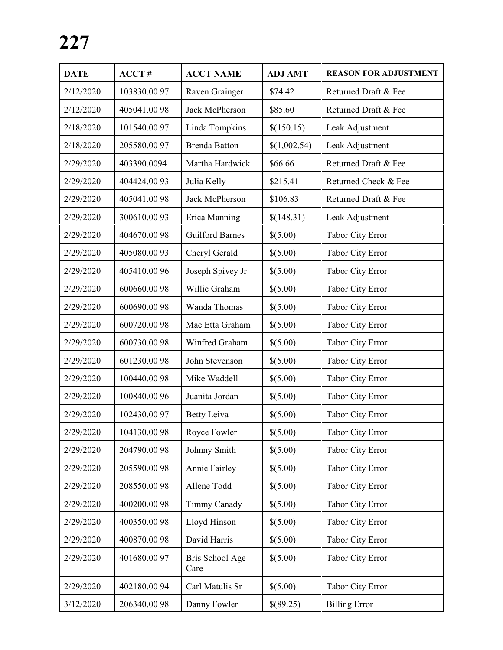| <b>DATE</b> | ACCT#       | <b>ACCT NAME</b>        | <b>ADJ AMT</b> | <b>REASON FOR ADJUSTMENT</b> |
|-------------|-------------|-------------------------|----------------|------------------------------|
| 2/12/2020   | 103830.0097 | Raven Grainger          | \$74.42        | Returned Draft & Fee         |
| 2/12/2020   | 405041.0098 | Jack McPherson          | \$85.60        | Returned Draft & Fee         |
| 2/18/2020   | 101540.0097 | Linda Tompkins          | \$(150.15)     | Leak Adjustment              |
| 2/18/2020   | 205580.0097 | <b>Brenda Batton</b>    | \$(1,002.54)   | Leak Adjustment              |
| 2/29/2020   | 403390.0094 | Martha Hardwick         | \$66.66        | Returned Draft & Fee         |
| 2/29/2020   | 404424.0093 | Julia Kelly             | \$215.41       | Returned Check & Fee         |
| 2/29/2020   | 405041.0098 | Jack McPherson          | \$106.83       | Returned Draft & Fee         |
| 2/29/2020   | 300610.0093 | Erica Manning           | \$(148.31)     | Leak Adjustment              |
| 2/29/2020   | 404670.0098 | <b>Guilford Barnes</b>  | \$(5.00)       | Tabor City Error             |
| 2/29/2020   | 405080.0093 | Cheryl Gerald           | \$(5.00)       | Tabor City Error             |
| 2/29/2020   | 405410.0096 | Joseph Spivey Jr        | \$(5.00)       | Tabor City Error             |
| 2/29/2020   | 600660.0098 | Willie Graham           | \$(5.00)       | Tabor City Error             |
| 2/29/2020   | 600690.0098 | Wanda Thomas            | \$(5.00)       | Tabor City Error             |
| 2/29/2020   | 600720.0098 | Mae Etta Graham         | \$(5.00)       | Tabor City Error             |
| 2/29/2020   | 600730.0098 | Winfred Graham          | \$(5.00)       | Tabor City Error             |
| 2/29/2020   | 601230.0098 | John Stevenson          | \$(5.00)       | Tabor City Error             |
| 2/29/2020   | 100440.0098 | Mike Waddell            | \$(5.00)       | Tabor City Error             |
| 2/29/2020   | 100840.0096 | Juanita Jordan          | \$(5.00)       | Tabor City Error             |
| 2/29/2020   | 102430.0097 | <b>Betty Leiva</b>      | \$(5.00)       | <b>Tabor City Error</b>      |
| 2/29/2020   | 104130.0098 | Royce Fowler            | \$(5.00)       | Tabor City Error             |
| 2/29/2020   | 204790.0098 | Johnny Smith            | \$(5.00)       | <b>Tabor City Error</b>      |
| 2/29/2020   | 205590.0098 | Annie Fairley           | \$(5.00)       | Tabor City Error             |
| 2/29/2020   | 208550.0098 | Allene Todd             | \$(5.00)       | Tabor City Error             |
| 2/29/2020   | 400200.0098 | Timmy Canady            | \$(5.00)       | Tabor City Error             |
| 2/29/2020   | 400350.0098 | Lloyd Hinson            | \$(5.00)       | <b>Tabor City Error</b>      |
| 2/29/2020   | 400870.0098 | David Harris            | \$(5.00)       | Tabor City Error             |
| 2/29/2020   | 401680.0097 | Bris School Age<br>Care | \$(5.00)       | <b>Tabor City Error</b>      |
| 2/29/2020   | 402180.0094 | Carl Matulis Sr         | \$(5.00)       | <b>Tabor City Error</b>      |
| 3/12/2020   | 206340.0098 | Danny Fowler            | \$(89.25)      | <b>Billing Error</b>         |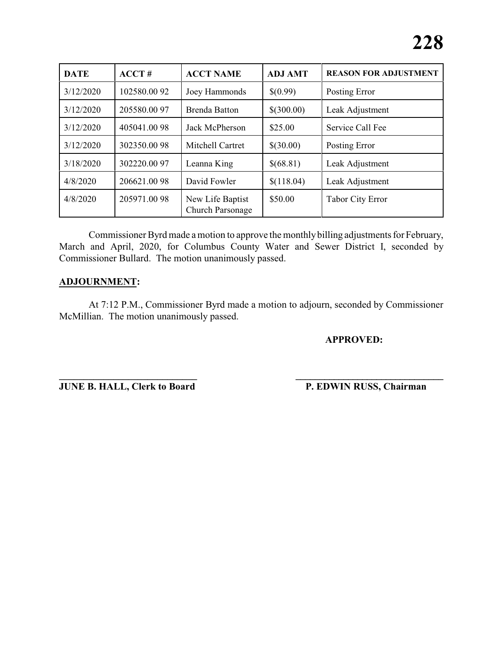| <b>DATE</b> | ACCT#       | <b>ACCT NAME</b>                     | <b>ADJ AMT</b> | <b>REASON FOR ADJUSTMENT</b> |
|-------------|-------------|--------------------------------------|----------------|------------------------------|
| 3/12/2020   | 102580.0092 | Joey Hammonds                        | \$(0.99)       | Posting Error                |
| 3/12/2020   | 205580.0097 | <b>Brenda Batton</b>                 | \$(300.00)     | Leak Adjustment              |
| 3/12/2020   | 405041.0098 | Jack McPherson                       | \$25.00        | Service Call Fee             |
| 3/12/2020   | 302350.0098 | Mitchell Cartret                     | \$(30.00)      | Posting Error                |
| 3/18/2020   | 302220.0097 | Leanna King                          | \$(68.81)      | Leak Adjustment              |
| 4/8/2020    | 206621.0098 | David Fowler                         | \$(118.04)     | Leak Adjustment              |
| 4/8/2020    | 205971.0098 | New Life Baptist<br>Church Parsonage | \$50.00        | <b>Tabor City Error</b>      |

Commissioner Byrd made amotion to approve the monthly billing adjustments for February, March and April, 2020, for Columbus County Water and Sewer District I, seconded by Commissioner Bullard. The motion unanimously passed.

## **ADJOURNMENT:**

At 7:12 P.M., Commissioner Byrd made a motion to adjourn, seconded by Commissioner McMillian. The motion unanimously passed.

#### **APPROVED:**

**JUNE B. HALL, Clerk to Board P. EDWIN RUSS, Chairman** 

**\_\_\_\_\_\_\_\_\_\_\_\_\_\_\_\_\_\_\_\_\_\_\_\_\_\_\_\_ \_\_\_\_\_\_\_\_\_\_\_\_\_\_\_\_\_\_\_\_\_\_\_\_\_\_\_\_\_\_\_**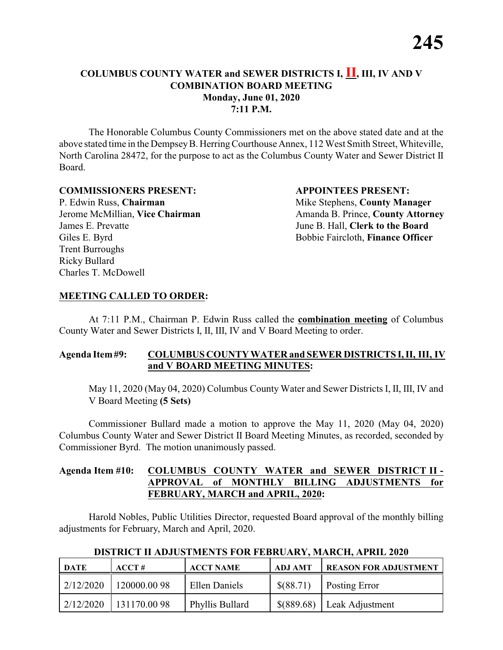The Honorable Columbus County Commissioners met on the above stated date and at the above stated time in the DempseyB. HerringCourthouse Annex, 112 West Smith Street, Whiteville, North Carolina 28472, for the purpose to act as the Columbus County Water and Sewer District II Board.

#### **COMMISSIONERS PRESENT: APPOINTEES PRESENT:**

P. Edwin Russ, **Chairman** Mike Stephens, **County Manager** James E. Prevatte June B. Hall, **Clerk to the Board** Giles E. Byrd **Bobbie Faircloth, Finance Officer** Trent Burroughs Ricky Bullard Charles T. McDowell

Jerome McMillian, **Vice Chairman** Amanda B. Prince, **County Attorney** 

#### **MEETING CALLED TO ORDER:**

At 7:11 P.M., Chairman P. Edwin Russ called the **combination meeting** of Columbus County Water and Sewer Districts I, II, III, IV and V Board Meeting to order.

#### **Agenda Item#9: COLUMBUS COUNTY WATER and SEWER DISTRICTS I, II, III, IV and V BOARD MEETING MINUTES:**

May 11, 2020 (May 04, 2020) Columbus County Water and Sewer Districts I, II, III, IV and V Board Meeting **(5 Sets)**

Commissioner Bullard made a motion to approve the May 11, 2020 (May 04, 2020) Columbus County Water and Sewer District II Board Meeting Minutes, as recorded, seconded by Commissioner Byrd. The motion unanimously passed.

#### **Agenda Item #10: COLUMBUS COUNTY WATER and SEWER DISTRICT II - APPROVAL of MONTHLY BILLING ADJUSTMENTS for FEBRUARY, MARCH and APRIL, 2020:**

Harold Nobles, Public Utilities Director, requested Board approval of the monthly billing adjustments for February, March and April, 2020.

| <b>DATE</b> | $ACCT \#$   | <b>ACCT NAME</b> | <b>ADJ AMT</b> | <b>REASON FOR ADJUSTMENT</b> |
|-------------|-------------|------------------|----------------|------------------------------|
| 2/12/2020   | 120000.0098 | Ellen Daniels    | \$(88.71)      | <b>Posting Error</b>         |
| 2/12/2020   | 131170.0098 | Phyllis Bullard  | \$(889.68)     | Leak Adjustment              |

#### **DISTRICT II ADJUSTMENTS FOR FEBRUARY, MARCH, APRIL 2020**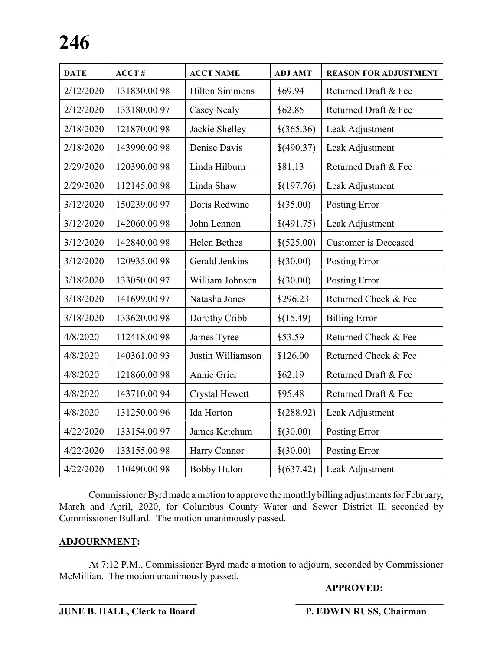| <b>DATE</b> | $ACCT$ #     | <b>ACCT NAME</b>      | <b>ADJ AMT</b> | <b>REASON FOR ADJUSTMENT</b> |
|-------------|--------------|-----------------------|----------------|------------------------------|
| 2/12/2020   | 131830.0098  | <b>Hilton Simmons</b> | \$69.94        | Returned Draft & Fee         |
| 2/12/2020   | 133180.0097  | <b>Casey Nealy</b>    | \$62.85        | Returned Draft & Fee         |
| 2/18/2020   | 121870.0098  | Jackie Shelley        | \$(365.36)     | Leak Adjustment              |
| 2/18/2020   | 143990.0098  | Denise Davis          | \$(490.37)     | Leak Adjustment              |
| 2/29/2020   | 120390.0098  | Linda Hilburn         | \$81.13        | Returned Draft & Fee         |
| 2/29/2020   | 112145.0098  | Linda Shaw            | \$(197.76)     | Leak Adjustment              |
| 3/12/2020   | 150239.0097  | Doris Redwine         | \$(35.00)      | Posting Error                |
| 3/12/2020   | 142060.0098  | John Lennon           | \$(491.75)     | Leak Adjustment              |
| 3/12/2020   | 142840.0098  | Helen Bethea          | \$(525.00)     | <b>Customer</b> is Deceased  |
| 3/12/2020   | 120935.0098  | Gerald Jenkins        | \$(30.00)      | Posting Error                |
| 3/18/2020   | 133050.0097  | William Johnson       | \$(30.00)      | Posting Error                |
| 3/18/2020   | 141699.00 97 | Natasha Jones         | \$296.23       | Returned Check & Fee         |
| 3/18/2020   | 133620.0098  | Dorothy Cribb         | \$(15.49)      | <b>Billing Error</b>         |
| 4/8/2020    | 112418.0098  | James Tyree           | \$53.59        | Returned Check & Fee         |
| 4/8/2020    | 140361.0093  | Justin Williamson     | \$126.00       | Returned Check & Fee         |
| 4/8/2020    | 121860.0098  | Annie Grier           | \$62.19        | Returned Draft & Fee         |
| 4/8/2020    | 143710.0094  | Crystal Hewett        | \$95.48        | Returned Draft & Fee         |
| 4/8/2020    | 131250.0096  | Ida Horton            | \$(288.92)     | Leak Adjustment              |
| 4/22/2020   | 133154.0097  | James Ketchum         | \$(30.00)      | Posting Error                |
| 4/22/2020   | 133155.0098  | Harry Connor          | \$(30.00)      | Posting Error                |
| 4/22/2020   | 110490.0098  | <b>Bobby Hulon</b>    | \$(637.42)     | Leak Adjustment              |

Commissioner Byrd made amotion to approve the monthlybilling adjustments for February, March and April, 2020, for Columbus County Water and Sewer District II, seconded by Commissioner Bullard. The motion unanimously passed.

#### **ADJOURNMENT:**

At 7:12 P.M., Commissioner Byrd made a motion to adjourn, seconded by Commissioner McMillian. The motion unanimously passed.

**\_\_\_\_\_\_\_\_\_\_\_\_\_\_\_\_\_\_\_\_\_\_\_\_\_\_\_\_ \_\_\_\_\_\_\_\_\_\_\_\_\_\_\_\_\_\_\_\_\_\_\_\_\_\_\_\_\_\_\_**

#### **APPROVED:**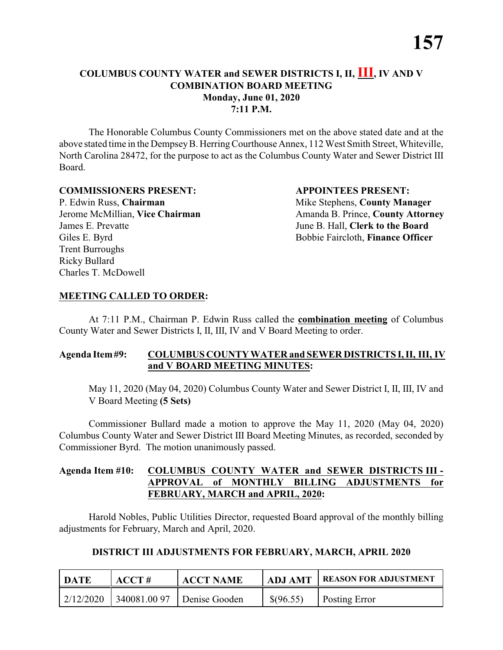The Honorable Columbus County Commissioners met on the above stated date and at the above stated time in the DempseyB. HerringCourthouse Annex, 112 West Smith Street, Whiteville, North Carolina 28472, for the purpose to act as the Columbus County Water and Sewer District III Board.

#### **COMMISSIONERS PRESENT: APPOINTEES PRESENT:**

P. Edwin Russ, **Chairman** Mike Stephens, **County Manager** James E. Prevatte June B. Hall, **Clerk to the Board** Giles E. Byrd **Bobbie Faircloth, Finance Officer** Trent Burroughs Ricky Bullard Charles T. McDowell

Jerome McMillian, **Vice Chairman** Amanda B. Prince, **County Attorney** 

## **MEETING CALLED TO ORDER:**

At 7:11 P.M., Chairman P. Edwin Russ called the **combination meeting** of Columbus County Water and Sewer Districts I, II, III, IV and V Board Meeting to order.

#### **Agenda Item#9: COLUMBUS COUNTY WATER and SEWER DISTRICTS I, II, III, IV and V BOARD MEETING MINUTES:**

May 11, 2020 (May 04, 2020) Columbus County Water and Sewer District I, II, III, IV and V Board Meeting **(5 Sets)**

Commissioner Bullard made a motion to approve the May 11, 2020 (May 04, 2020) Columbus County Water and Sewer District III Board Meeting Minutes, as recorded, seconded by Commissioner Byrd. The motion unanimously passed.

## **Agenda Item #10: COLUMBUS COUNTY WATER and SEWER DISTRICTS III - APPROVAL of MONTHLY BILLING ADJUSTMENTS for FEBRUARY, MARCH and APRIL, 2020:**

Harold Nobles, Public Utilities Director, requested Board approval of the monthly billing adjustments for February, March and April, 2020.

# **DISTRICT III ADJUSTMENTS FOR FEBRUARY, MARCH, APRIL 2020**

| <b>DATE</b> | ACCT# | <b>ACCT NAME</b>           | <b>ADJ AMT</b> | <b>I REASON FOR ADJUSTMENT</b> |
|-------------|-------|----------------------------|----------------|--------------------------------|
| 2/12/2020   |       | 340081.00 97 Denise Gooden | \$(96.55)      | <b>Posting Error</b>           |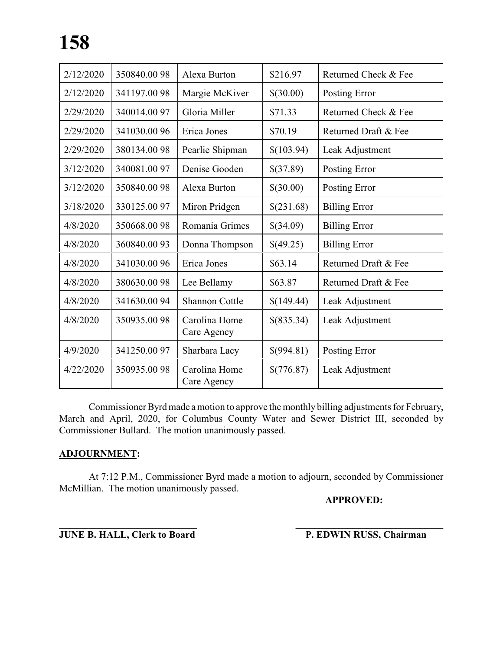| 2/12/2020 | 350840.0098 | Alexa Burton                 | \$216.97   | Returned Check & Fee |
|-----------|-------------|------------------------------|------------|----------------------|
| 2/12/2020 | 341197.0098 | Margie McKiver               | \$(30.00)  | Posting Error        |
| 2/29/2020 | 340014.0097 | Gloria Miller                | \$71.33    | Returned Check & Fee |
| 2/29/2020 | 341030.0096 | Erica Jones                  | \$70.19    | Returned Draft & Fee |
| 2/29/2020 | 380134.0098 | Pearlie Shipman              | \$(103.94) | Leak Adjustment      |
| 3/12/2020 | 340081.0097 | Denise Gooden                | \$(37.89)  | Posting Error        |
| 3/12/2020 | 350840.0098 | Alexa Burton                 | \$(30.00)  | Posting Error        |
| 3/18/2020 | 330125.0097 | Miron Pridgen                | \$(231.68) | <b>Billing Error</b> |
| 4/8/2020  | 350668.0098 | Romania Grimes               | \$(34.09)  | <b>Billing Error</b> |
| 4/8/2020  | 360840.0093 | Donna Thompson               | \$(49.25)  | <b>Billing Error</b> |
| 4/8/2020  | 341030.0096 | Erica Jones                  | \$63.14    | Returned Draft & Fee |
| 4/8/2020  | 380630.0098 | Lee Bellamy                  | \$63.87    | Returned Draft & Fee |
| 4/8/2020  | 341630.0094 | Shannon Cottle               | \$(149.44) | Leak Adjustment      |
| 4/8/2020  | 350935.0098 | Carolina Home<br>Care Agency | \$(835.34) | Leak Adjustment      |
| 4/9/2020  | 341250.0097 | Sharbara Lacy                | \$(994.81) | Posting Error        |
| 4/22/2020 | 350935.0098 | Carolina Home<br>Care Agency | \$(776.87) | Leak Adjustment      |

Commissioner Byrd made a motion to approve the monthly billing adjustments for February, March and April, 2020, for Columbus County Water and Sewer District III, seconded by Commissioner Bullard. The motion unanimously passed.

#### **ADJOURNMENT:**

At 7:12 P.M., Commissioner Byrd made a motion to adjourn, seconded by Commissioner McMillian. The motion unanimously passed.

**\_\_\_\_\_\_\_\_\_\_\_\_\_\_\_\_\_\_\_\_\_\_\_\_\_\_\_\_ \_\_\_\_\_\_\_\_\_\_\_\_\_\_\_\_\_\_\_\_\_\_\_\_\_\_\_\_\_\_\_**

**APPROVED:**

**JUNE B. HALL, Clerk to Board P. EDWIN RUSS, Chairman**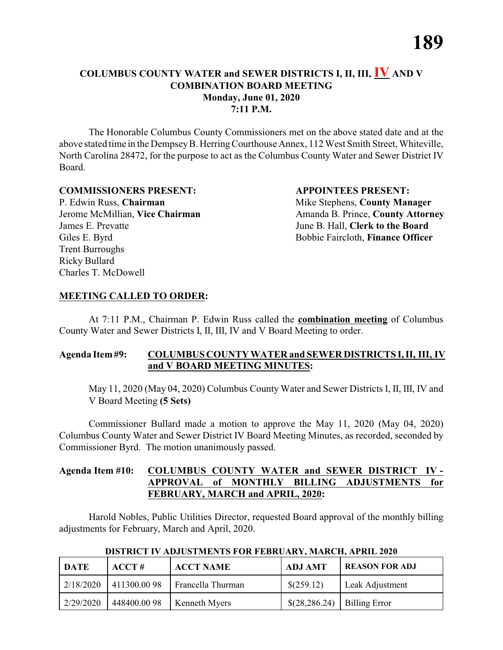The Honorable Columbus County Commissioners met on the above stated date and at the above stated time in the Dempsey B. Herring Courthouse Annex, 112 West Smith Street, Whiteville, North Carolina 28472, for the purpose to act as the Columbus County Water and Sewer District IV Board.

#### **COMMISSIONERS PRESENT: APPOINTEES PRESENT:**

P. Edwin Russ, **Chairman** Mike Stephens, **County Manager** James E. Prevatte June B. Hall, **Clerk to the Board** Giles E. Byrd **Bobbie Faircloth, Finance Officer** Trent Burroughs Ricky Bullard Charles T. McDowell

Jerome McMillian, **Vice Chairman** Amanda B. Prince, **County Attorney** 

#### **MEETING CALLED TO ORDER:**

At 7:11 P.M., Chairman P. Edwin Russ called the **combination meeting** of Columbus County Water and Sewer Districts I, II, III, IV and V Board Meeting to order.

#### **Agenda Item#9: COLUMBUS COUNTY WATER and SEWER DISTRICTS I, II, III, IV and V BOARD MEETING MINUTES:**

May 11, 2020 (May 04, 2020) Columbus County Water and Sewer Districts I, II, III, IV and V Board Meeting **(5 Sets)**

Commissioner Bullard made a motion to approve the May 11, 2020 (May 04, 2020) Columbus County Water and Sewer District IV Board Meeting Minutes, as recorded, seconded by Commissioner Byrd. The motion unanimously passed.

#### **Agenda Item #10: COLUMBUS COUNTY WATER and SEWER DISTRICT IV - APPROVAL of MONTHLY BILLING ADJUSTMENTS for FEBRUARY, MARCH and APRIL, 2020:**

Harold Nobles, Public Utilities Director, requested Board approval of the monthly billing adjustments for February, March and April, 2020.

| <b>DATE</b> | $\bf ACCT#$ | <b>ACCT NAME</b>     | <b>ADJ AMT</b>                               | <b>REASON FOR ADJ</b> |
|-------------|-------------|----------------------|----------------------------------------------|-----------------------|
| 2/18/2020   | 411300.0098 | Francella Thurman    | \$(259.12)                                   | Leak Adjustment       |
| 2/29/2020   | 448400.0098 | <b>Kenneth Myers</b> | $\{(28, 286.24) \mid \text{Billing Error}\}$ |                       |

 **DISTRICT IV ADJUSTMENTS FOR FEBRUARY, MARCH, APRIL 2020**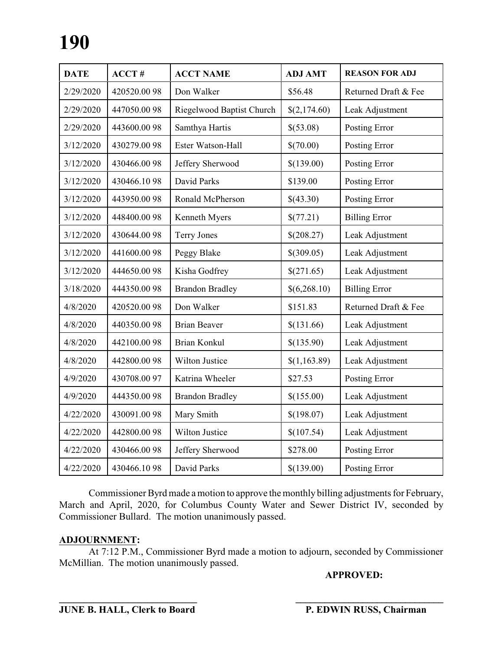| <b>DATE</b> | $ACCT$ #    | <b>ACCT NAME</b>          | <b>ADJ AMT</b> | <b>REASON FOR ADJ</b> |
|-------------|-------------|---------------------------|----------------|-----------------------|
| 2/29/2020   | 420520.0098 | Don Walker                | \$56.48        | Returned Draft & Fee  |
| 2/29/2020   | 447050.0098 | Riegelwood Baptist Church | \$(2,174.60)   | Leak Adjustment       |
| 2/29/2020   | 443600.0098 | Samthya Hartis            | \$(53.08)      | Posting Error         |
| 3/12/2020   | 430279.0098 | Ester Watson-Hall         | \$(70.00)      | Posting Error         |
| 3/12/2020   | 430466.0098 | Jeffery Sherwood          | \$(139.00)     | Posting Error         |
| 3/12/2020   | 430466.1098 | David Parks               | \$139.00       | Posting Error         |
| 3/12/2020   | 443950.0098 | Ronald McPherson          | \$(43.30)      | Posting Error         |
| 3/12/2020   | 448400.0098 | Kenneth Myers             | \$(77.21)      | <b>Billing Error</b>  |
| 3/12/2020   | 430644.0098 | <b>Terry Jones</b>        | \$(208.27)     | Leak Adjustment       |
| 3/12/2020   | 441600.0098 | Peggy Blake               | \$(309.05)     | Leak Adjustment       |
| 3/12/2020   | 444650.0098 | Kisha Godfrey             | \$(271.65)     | Leak Adjustment       |
| 3/18/2020   | 444350.0098 | <b>Brandon Bradley</b>    | \$(6,268.10)   | <b>Billing Error</b>  |
| 4/8/2020    | 420520.0098 | Don Walker                | \$151.83       | Returned Draft & Fee  |
| 4/8/2020    | 440350.0098 | <b>Brian Beaver</b>       | \$(131.66)     | Leak Adjustment       |
| 4/8/2020    | 442100.0098 | <b>Brian Konkul</b>       | \$(135.90)     | Leak Adjustment       |
| 4/8/2020    | 442800.0098 | Wilton Justice            | \$(1,163.89)   | Leak Adjustment       |
| 4/9/2020    | 430708.0097 | Katrina Wheeler           | \$27.53        | Posting Error         |
| 4/9/2020    | 444350.0098 | <b>Brandon Bradley</b>    | \$(155.00)     | Leak Adjustment       |
| 4/22/2020   | 430091.0098 | Mary Smith                | \$(198.07)     | Leak Adjustment       |
| 4/22/2020   | 442800.0098 | Wilton Justice            | \$(107.54)     | Leak Adjustment       |
| 4/22/2020   | 430466.0098 | Jeffery Sherwood          | \$278.00       | Posting Error         |
| 4/22/2020   | 430466.1098 | David Parks               | \$(139.00)     | Posting Error         |

Commissioner Byrd made a motion to approve the monthly billing adjustments for February, March and April, 2020, for Columbus County Water and Sewer District IV, seconded by Commissioner Bullard. The motion unanimously passed.

#### **ADJOURNMENT:**

At 7:12 P.M., Commissioner Byrd made a motion to adjourn, seconded by Commissioner McMillian. The motion unanimously passed.

#### **APPROVED:**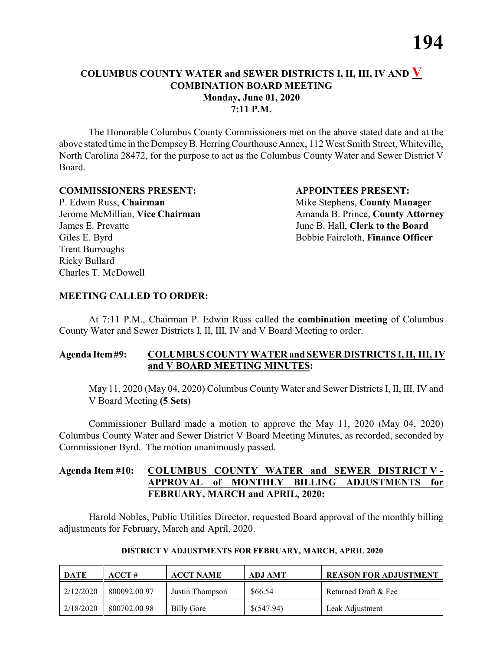The Honorable Columbus County Commissioners met on the above stated date and at the above stated time in the DempseyB. HerringCourthouse Annex, 112 West Smith Street, Whiteville, North Carolina 28472, for the purpose to act as the Columbus County Water and Sewer District V Board.

#### **COMMISSIONERS PRESENT: APPOINTEES PRESENT:**

P. Edwin Russ, **Chairman** Mike Stephens, **County Manager** James E. Prevatte June B. Hall, **Clerk to the Board** Giles E. Byrd **Bobbie Faircloth, Finance Officer** Trent Burroughs Ricky Bullard Charles T. McDowell

Jerome McMillian, **Vice Chairman** Amanda B. Prince, **County Attorney** 

#### **MEETING CALLED TO ORDER:**

At 7:11 P.M., Chairman P. Edwin Russ called the **combination meeting** of Columbus County Water and Sewer Districts I, II, III, IV and V Board Meeting to order.

#### **Agenda Item#9: COLUMBUS COUNTY WATER and SEWER DISTRICTS I, II, III, IV and V BOARD MEETING MINUTES:**

May 11, 2020 (May 04, 2020) Columbus County Water and Sewer Districts I, II, III, IV and V Board Meeting **(5 Sets)**

Commissioner Bullard made a motion to approve the May 11, 2020 (May 04, 2020) Columbus County Water and Sewer District V Board Meeting Minutes, as recorded, seconded by Commissioner Byrd. The motion unanimously passed.

#### **Agenda Item #10: COLUMBUS COUNTY WATER and SEWER DISTRICT V - APPROVAL of MONTHLY BILLING ADJUSTMENTS for FEBRUARY, MARCH and APRIL, 2020:**

Harold Nobles, Public Utilities Director, requested Board approval of the monthly billing adjustments for February, March and April, 2020.

| DATE      | ACCT#        | <b>ACCT NAME</b> | <b>ADJ AMT</b> | <b>REASON FOR ADJUSTMENT</b> |
|-----------|--------------|------------------|----------------|------------------------------|
| 2/12/2020 | 800092.00 97 | Justin Thompson  | \$66.54        | Returned Draft & Fee         |
| 2/18/2020 | 800702.0098  | Billy Gore       | \$(547.94)     | Leak Adjustment              |

#### **DISTRICT V ADJUSTMENTS FOR FEBRUARY, MARCH, APRIL 2020**